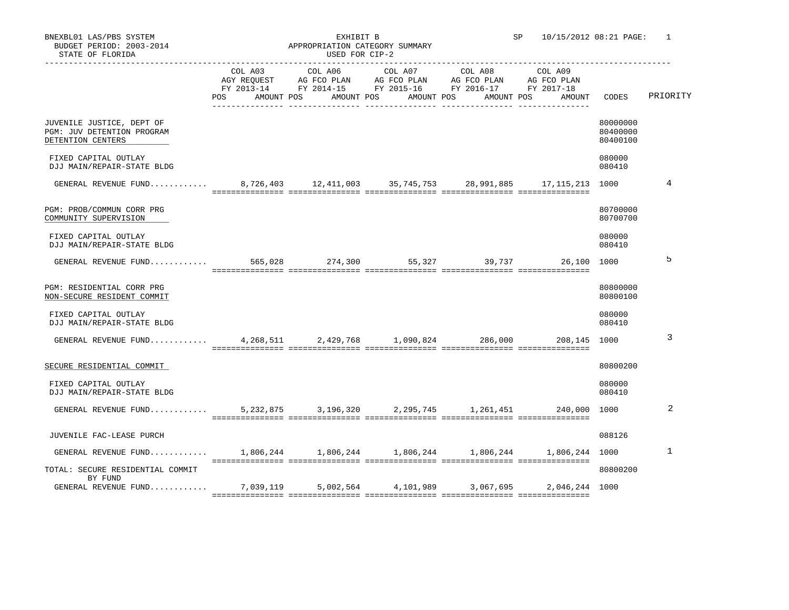| STATE OF FLORIDA                                                                | USED FOR CIP-2 |  |  |                                                                                                                                                                                                                     |                                           |                                  |          |
|---------------------------------------------------------------------------------|----------------|--|--|---------------------------------------------------------------------------------------------------------------------------------------------------------------------------------------------------------------------|-------------------------------------------|----------------------------------|----------|
|                                                                                 |                |  |  | COL A03 COL A06 COL A07 COL A08 COL A09<br>AGY REQUEST AG FCO PLAN AG FCO PLAN AG FCO PLAN AG FCO PLAN<br>FY 2013-14 FY 2014-15 FY 2015-16 FY 2016-17 FY 2017-18<br>POS AMOUNT POS AMOUNT POS AMOUNT POS AMOUNT POS | AMOUNT                                    | CODES                            | PRIORITY |
| JUVENILE JUSTICE, DEPT OF<br>PGM: JUV DETENTION PROGRAM<br>DETENTION CENTERS    |                |  |  |                                                                                                                                                                                                                     |                                           | 80000000<br>80400000<br>80400100 |          |
| FIXED CAPITAL OUTLAY<br>DJJ MAIN/REPAIR-STATE BLDG                              |                |  |  |                                                                                                                                                                                                                     |                                           | 080000<br>080410                 |          |
| GENERAL REVENUE FUND 8,726,403 12,411,003 35,745,753 28,991,885 17,115,213 1000 |                |  |  |                                                                                                                                                                                                                     |                                           |                                  | 4        |
| PGM: PROB/COMMUN CORR PRG<br>COMMUNITY SUPERVISION                              |                |  |  |                                                                                                                                                                                                                     |                                           | 80700000<br>80700700             |          |
| FIXED CAPITAL OUTLAY<br>DJJ MAIN/REPAIR-STATE BLDG                              |                |  |  |                                                                                                                                                                                                                     |                                           | 080000<br>080410                 |          |
| GENERAL REVENUE FUND                                                            |                |  |  |                                                                                                                                                                                                                     | 565,028 274,300 55,327 39,737 26,100 1000 |                                  | 5        |
| PGM: RESIDENTIAL CORR PRG<br>NON-SECURE RESIDENT COMMIT                         |                |  |  |                                                                                                                                                                                                                     |                                           | 80800000<br>80800100             |          |
| FIXED CAPITAL OUTLAY<br>DJJ MAIN/REPAIR-STATE BLDG                              |                |  |  |                                                                                                                                                                                                                     |                                           | 080000<br>080410                 |          |
| GENERAL REVENUE FUND 4,268,511 2,429,768 1,090,824 286,000 208,145 1000         |                |  |  |                                                                                                                                                                                                                     |                                           |                                  | 3        |
| SECURE RESIDENTIAL COMMIT                                                       |                |  |  |                                                                                                                                                                                                                     |                                           | 80800200                         |          |
| FIXED CAPITAL OUTLAY<br>DJJ MAIN/REPAIR-STATE BLDG                              |                |  |  |                                                                                                                                                                                                                     |                                           | 080000<br>080410                 |          |
| GENERAL REVENUE FUND 5,232,875 3,196,320 2,295,745 1,261,451 240,000 1000       |                |  |  |                                                                                                                                                                                                                     |                                           |                                  | 2        |
| JUVENILE FAC-LEASE PURCH                                                        |                |  |  |                                                                                                                                                                                                                     |                                           | 088126                           |          |
| GENERAL REVENUE FUND 1,806,244 1,806,244 1,806,244 1,806,244 1,806,244 1000     |                |  |  |                                                                                                                                                                                                                     |                                           |                                  | 1        |
| TOTAL: SECURE RESIDENTIAL COMMIT<br>BY FUND                                     |                |  |  |                                                                                                                                                                                                                     |                                           | 80800200                         |          |
| GENERAL REVENUE FUND 7,039,119 5,002,564 4,101,989 3,067,695 2,046,244 1000     |                |  |  |                                                                                                                                                                                                                     |                                           |                                  |          |